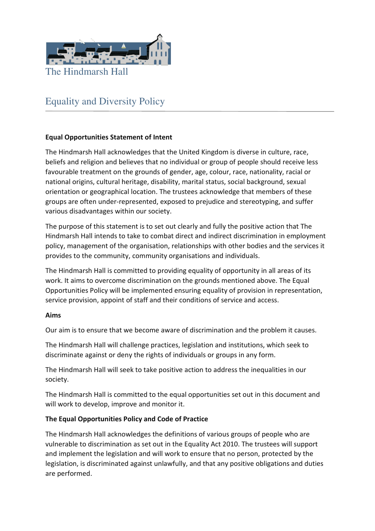

# Equality and Diversity Policy

# **Equal Opportunities Statement of Intent**

The Hindmarsh Hall acknowledges that the United Kingdom is diverse in culture, race, beliefs and religion and believes that no individual or group of people should receive less favourable treatment on the grounds of gender, age, colour, race, nationality, racial or national origins, cultural heritage, disability, marital status, social background, sexual orientation or geographical location. The trustees acknowledge that members of these groups are often under-represented, exposed to prejudice and stereotyping, and suffer various disadvantages within our society.

The purpose of this statement is to set out clearly and fully the positive action that The Hindmarsh Hall intends to take to combat direct and indirect discrimination in employment policy, management of the organisation, relationships with other bodies and the services it provides to the community, community organisations and individuals.

The Hindmarsh Hall is committed to providing equality of opportunity in all areas of its work. It aims to overcome discrimination on the grounds mentioned above. The Equal Opportunities Policy will be implemented ensuring equality of provision in representation, service provision, appoint of staff and their conditions of service and access.

#### **Aims**

Our aim is to ensure that we become aware of discrimination and the problem it causes.

The Hindmarsh Hall will challenge practices, legislation and institutions, which seek to discriminate against or deny the rights of individuals or groups in any form.

The Hindmarsh Hall will seek to take positive action to address the inequalities in our society.

The Hindmarsh Hall is committed to the equal opportunities set out in this document and will work to develop, improve and monitor it.

### **The Equal Opportunities Policy and Code of Practice**

The Hindmarsh Hall acknowledges the definitions of various groups of people who are vulnerable to discrimination as set out in the Equality Act 2010. The trustees will support and implement the legislation and will work to ensure that no person, protected by the legislation, is discriminated against unlawfully, and that any positive obligations and duties are performed.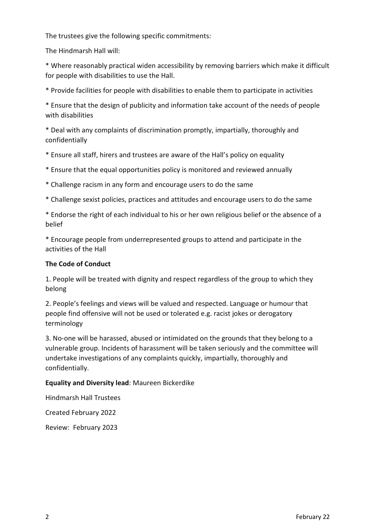The trustees give the following specific commitments:

The Hindmarsh Hall will:

\* Where reasonably practical widen accessibility by removing barriers which make it difficult for people with disabilities to use the Hall.

\* Provide facilities for people with disabilities to enable them to participate in activities

\* Ensure that the design of publicity and information take account of the needs of people with disabilities

\* Deal with any complaints of discrimination promptly, impartially, thoroughly and confidentially

- \* Ensure all staff, hirers and trustees are aware of the Hall's policy on equality
- \* Ensure that the equal opportunities policy is monitored and reviewed annually
- \* Challenge racism in any form and encourage users to do the same

\* Challenge sexist policies, practices and attitudes and encourage users to do the same

\* Endorse the right of each individual to his or her own religious belief or the absence of a belief

\* Encourage people from underrepresented groups to attend and participate in the activities of the Hall

# **The Code of Conduct**

1. People will be treated with dignity and respect regardless of the group to which they belong

2. People's feelings and views will be valued and respected. Language or humour that people find offensive will not be used or tolerated e.g. racist jokes or derogatory terminology

3. No-one will be harassed, abused or intimidated on the grounds that they belong to a vulnerable group. Incidents of harassment will be taken seriously and the committee will undertake investigations of any complaints quickly, impartially, thoroughly and confidentially.

### **Equality and Diversity lead**: Maureen Bickerdike

Hindmarsh Hall Trustees

Created February 2022

Review: February 2023